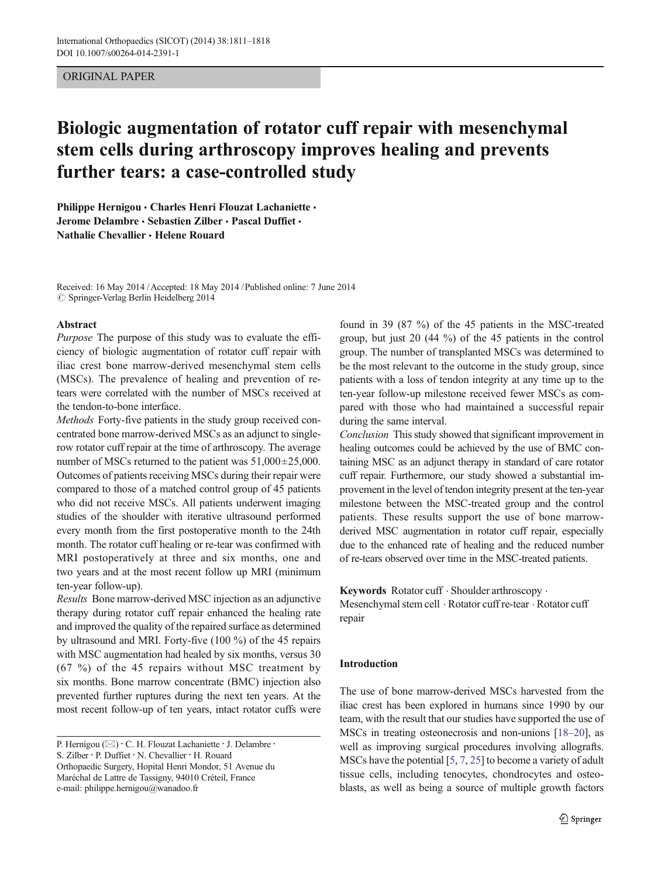# ORIGINAL PAPER

# Biologic augmentation of rotator cuff repair with mesenchymal stem cells during arthroscopy improves healing and prevents further tears: a case-controlled study

Philippe Hernigou • Charles Henri Flouzat Lachaniette • Jerome Delambre · Sebastien Zilber · Pascal Duffiet · Nathalie Chevallier & Helene Rouard

Received: 16 May 2014 /Accepted: 18 May 2014 /Published online: 7 June 2014  $\odot$  Springer-Verlag Berlin Heidelberg 2014

## Abstract

Purpose The purpose of this study was to evaluate the efficiency of biologic augmentation of rotator cuff repair with iliac crest bone marrow-derived mesenchymal stem cells (MSCs). The prevalence of healing and prevention of retears were correlated with the number of MSCs received at the tendon-to-bone interface.

Methods Forty-five patients in the study group received concentrated bone marrow-derived MSCs as an adjunct to singlerow rotator cuff repair at the time of arthroscopy. The average number of MSCs returned to the patient was  $51,000\pm25,000$ . Outcomes of patients receiving MSCs during their repair were compared to those of a matched control group of 45 patients who did not receive MSCs. All patients underwent imaging studies of the shoulder with iterative ultrasound performed every month from the first postoperative month to the 24th month. The rotator cuff healing or re-tear was confirmed with MRI postoperatively at three and six months, one and two years and at the most recent follow up MRI (minimum ten-year follow-up).

Results Bone marrow-derived MSC injection as an adjunctive therapy during rotator cuff repair enhanced the healing rate and improved the quality of the repaired surface as determined by ultrasound and MRI. Forty-five (100 %) of the 45 repairs with MSC augmentation had healed by six months, versus 30 (67 %) of the 45 repairs without MSC treatment by six months. Bone marrow concentrate (BMC) injection also prevented further ruptures during the next ten years. At the most recent follow-up of ten years, intact rotator cuffs were

S. Zilber : P. Duffiet : N. Chevallier : H. Rouard

Orthopaedic Surgery, Hopital Henri Mondor, 51 Avenue du Maréchal de Lattre de Tassigny, 94010 Créteil, France e-mail: philippe.hernigou@wanadoo.fr

found in 39 (87 %) of the 45 patients in the MSC-treated group, but just 20 (44 %) of the 45 patients in the control group. The number of transplanted MSCs was determined to be the most relevant to the outcome in the study group, since patients with a loss of tendon integrity at any time up to the ten-year follow-up milestone received fewer MSCs as compared with those who had maintained a successful repair during the same interval.

Conclusion This study showed that significant improvement in healing outcomes could be achieved by the use of BMC containing MSC as an adjunct therapy in standard of care rotator cuff repair. Furthermore, our study showed a substantial improvement in the level of tendon integrity present at the ten-year milestone between the MSC-treated group and the control patients. These results support the use of bone marrowderived MSC augmentation in rotator cuff repair, especially due to the enhanced rate of healing and the reduced number of re-tears observed over time in the MSC-treated patients.

Keywords Rotator cuff · Shoulder arthroscopy · Mesenchymal stem cell . Rotator cuff re-tear . Rotator cuff repair

## Introduction

The use of bone marrow-derived MSCs harvested from the iliac crest has been explored in humans since 1990 by our team, with the result that our studies have supported the use of MSCs in treating osteonecrosis and non-unions [\[18](#page-7-0)–[20\]](#page-7-0), as well as improving surgical procedures involving allografts. MSCs have the potential [\[5](#page-7-0), [7](#page-7-0), [25](#page-7-0)] to become a variety of adult tissue cells, including tenocytes, chondrocytes and osteoblasts, as well as being a source of multiple growth factors

P. Hernigou (⊠) · C. H. Flouzat Lachaniette · J. Delambre ·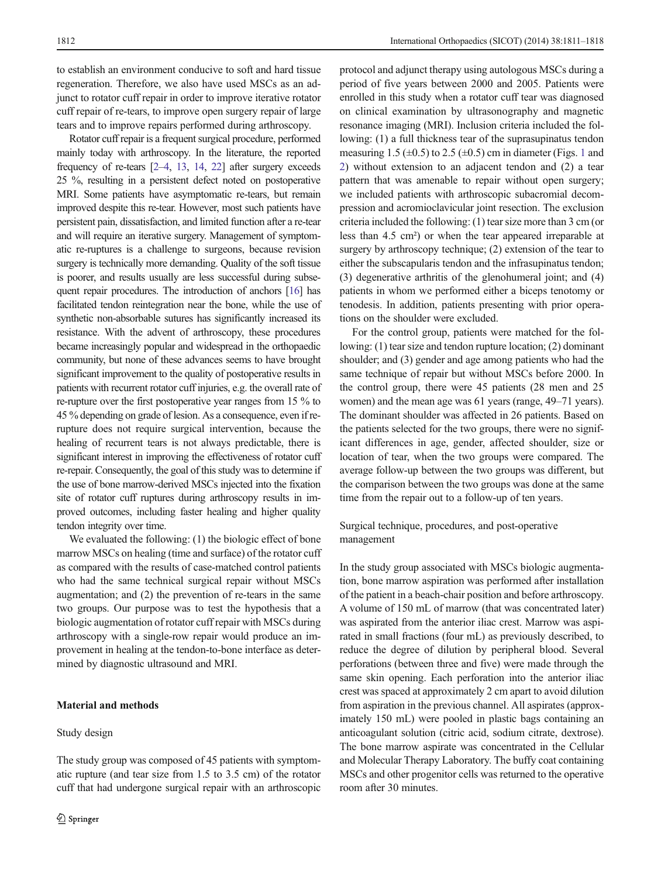to establish an environment conducive to soft and hard tissue regeneration. Therefore, we also have used MSCs as an adjunct to rotator cuff repair in order to improve iterative rotator cuff repair of re-tears, to improve open surgery repair of large tears and to improve repairs performed during arthroscopy.

Rotator cuff repair is a frequent surgical procedure, performed mainly today with arthroscopy. In the literature, the reported frequency of re-tears [\[2](#page-7-0)–[4](#page-7-0), [13](#page-7-0), [14](#page-7-0), [22\]](#page-7-0) after surgery exceeds 25 %, resulting in a persistent defect noted on postoperative MRI. Some patients have asymptomatic re-tears, but remain improved despite this re-tear. However, most such patients have persistent pain, dissatisfaction, and limited function after a re-tear and will require an iterative surgery. Management of symptomatic re-ruptures is a challenge to surgeons, because revision surgery is technically more demanding. Quality of the soft tissue is poorer, and results usually are less successful during subsequent repair procedures. The introduction of anchors [\[16\]](#page-7-0) has facilitated tendon reintegration near the bone, while the use of synthetic non-absorbable sutures has significantly increased its resistance. With the advent of arthroscopy, these procedures became increasingly popular and widespread in the orthopaedic community, but none of these advances seems to have brought significant improvement to the quality of postoperative results in patients with recurrent rotator cuff injuries, e.g. the overall rate of re-rupture over the first postoperative year ranges from 15 % to 45 % depending on grade of lesion. As a consequence, even if rerupture does not require surgical intervention, because the healing of recurrent tears is not always predictable, there is significant interest in improving the effectiveness of rotator cuff re-repair. Consequently, the goal of this study was to determine if the use of bone marrow-derived MSCs injected into the fixation site of rotator cuff ruptures during arthroscopy results in improved outcomes, including faster healing and higher quality tendon integrity over time.

We evaluated the following: (1) the biologic effect of bone marrow MSCs on healing (time and surface) of the rotator cuff as compared with the results of case-matched control patients who had the same technical surgical repair without MSCs augmentation; and (2) the prevention of re-tears in the same two groups. Our purpose was to test the hypothesis that a biologic augmentation of rotator cuff repair with MSCs during arthroscopy with a single-row repair would produce an improvement in healing at the tendon-to-bone interface as determined by diagnostic ultrasound and MRI.

# Material and methods

#### Study design

The study group was composed of 45 patients with symptomatic rupture (and tear size from 1.5 to 3.5 cm) of the rotator cuff that had undergone surgical repair with an arthroscopic

protocol and adjunct therapy using autologous MSCs during a period of five years between 2000 and 2005. Patients were enrolled in this study when a rotator cuff tear was diagnosed on clinical examination by ultrasonography and magnetic resonance imaging (MRI). Inclusion criteria included the following: (1) a full thickness tear of the suprasupinatus tendon measuring [1](#page-2-0).5 ( $\pm$ 0.5) to 2.5 ( $\pm$ 0.5) cm in diameter (Figs. 1 and [2](#page-2-0)) without extension to an adjacent tendon and (2) a tear pattern that was amenable to repair without open surgery; we included patients with arthroscopic subacromial decompression and acromioclavicular joint resection. The exclusion criteria included the following: (1) tear size more than 3 cm (or less than 4.5 cm²) or when the tear appeared irreparable at surgery by arthroscopy technique; (2) extension of the tear to either the subscapularis tendon and the infrasupinatus tendon; (3) degenerative arthritis of the glenohumeral joint; and (4) patients in whom we performed either a biceps tenotomy or tenodesis. In addition, patients presenting with prior operations on the shoulder were excluded.

For the control group, patients were matched for the following: (1) tear size and tendon rupture location; (2) dominant shoulder; and (3) gender and age among patients who had the same technique of repair but without MSCs before 2000. In the control group, there were 45 patients (28 men and 25 women) and the mean age was 61 years (range, 49–71 years). The dominant shoulder was affected in 26 patients. Based on the patients selected for the two groups, there were no significant differences in age, gender, affected shoulder, size or location of tear, when the two groups were compared. The average follow-up between the two groups was different, but the comparison between the two groups was done at the same time from the repair out to a follow-up of ten years.

Surgical technique, procedures, and post-operative management

In the study group associated with MSCs biologic augmentation, bone marrow aspiration was performed after installation of the patient in a beach-chair position and before arthroscopy. A volume of 150 mL of marrow (that was concentrated later) was aspirated from the anterior iliac crest. Marrow was aspirated in small fractions (four mL) as previously described, to reduce the degree of dilution by peripheral blood. Several perforations (between three and five) were made through the same skin opening. Each perforation into the anterior iliac crest was spaced at approximately 2 cm apart to avoid dilution from aspiration in the previous channel. All aspirates (approximately 150 mL) were pooled in plastic bags containing an anticoagulant solution (citric acid, sodium citrate, dextrose). The bone marrow aspirate was concentrated in the Cellular and Molecular Therapy Laboratory. The buffy coat containing MSCs and other progenitor cells was returned to the operative room after 30 minutes.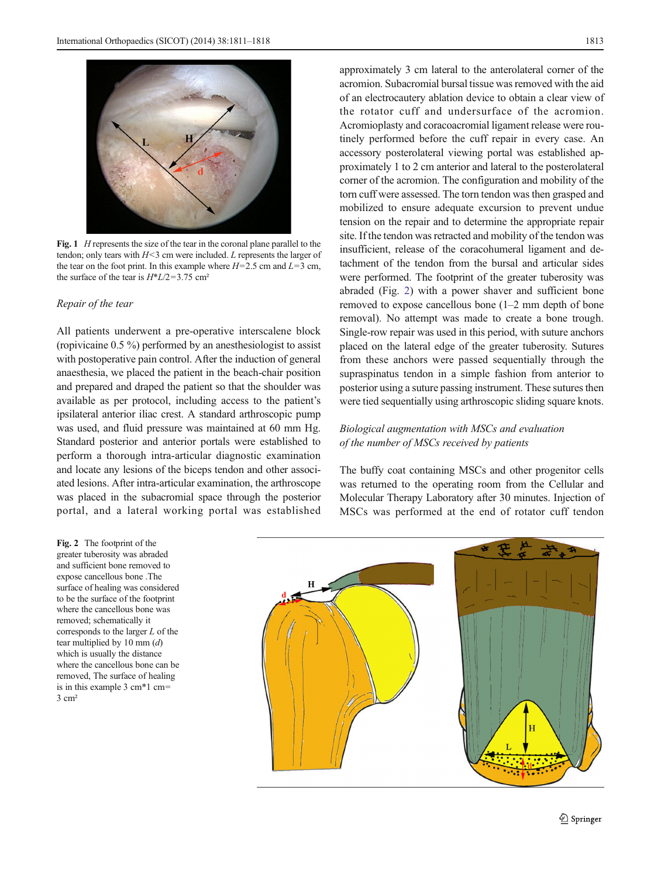<span id="page-2-0"></span>

Fig. 1 *H* represents the size of the tear in the coronal plane parallel to the tendon; only tears with  $H < 3$  cm were included. L represents the larger of the tear on the foot print. In this example where  $H=2.5$  cm and  $L=3$  cm, the surface of the tear is  $H^*L/2=3.75$  cm<sup>2</sup>

## Repair of the tear

All patients underwent a pre-operative interscalene block (ropivicaine 0.5 %) performed by an anesthesiologist to assist with postoperative pain control. After the induction of general anaesthesia, we placed the patient in the beach-chair position and prepared and draped the patient so that the shoulder was available as per protocol, including access to the patient's ipsilateral anterior iliac crest. A standard arthroscopic pump was used, and fluid pressure was maintained at 60 mm Hg. Standard posterior and anterior portals were established to perform a thorough intra-articular diagnostic examination and locate any lesions of the biceps tendon and other associated lesions. After intra-articular examination, the arthroscope was placed in the subacromial space through the posterior portal, and a lateral working portal was established

Fig. 2 The footprint of the greater tuberosity was abraded and sufficient bone removed to expose cancellous bone .The surface of healing was considered to be the surface of the footprint where the cancellous bone was removed; schematically it corresponds to the larger L of the tear multiplied by 10 mm  $(d)$ which is usually the distance where the cancellous bone can be removed, The surface of healing is in this example 3 cm\*1 cm= 3 cm²

approximately 3 cm lateral to the anterolateral corner of the acromion. Subacromial bursal tissue was removed with the aid of an electrocautery ablation device to obtain a clear view of the rotator cuff and undersurface of the acromion. Acromioplasty and coracoacromial ligament release were routinely performed before the cuff repair in every case. An accessory posterolateral viewing portal was established approximately 1 to 2 cm anterior and lateral to the posterolateral corner of the acromion. The configuration and mobility of the torn cuff were assessed. The torn tendon was then grasped and mobilized to ensure adequate excursion to prevent undue tension on the repair and to determine the appropriate repair site. If the tendon was retracted and mobility of the tendon was insufficient, release of the coracohumeral ligament and detachment of the tendon from the bursal and articular sides were performed. The footprint of the greater tuberosity was abraded (Fig. 2) with a power shaver and sufficient bone removed to expose cancellous bone (1–2 mm depth of bone removal). No attempt was made to create a bone trough. Single-row repair was used in this period, with suture anchors placed on the lateral edge of the greater tuberosity. Sutures from these anchors were passed sequentially through the supraspinatus tendon in a simple fashion from anterior to posterior using a suture passing instrument. These sutures then were tied sequentially using arthroscopic sliding square knots.

# Biological augmentation with MSCs and evaluation of the number of MSCs received by patients

The buffy coat containing MSCs and other progenitor cells was returned to the operating room from the Cellular and Molecular Therapy Laboratory after 30 minutes. Injection of MSCs was performed at the end of rotator cuff tendon

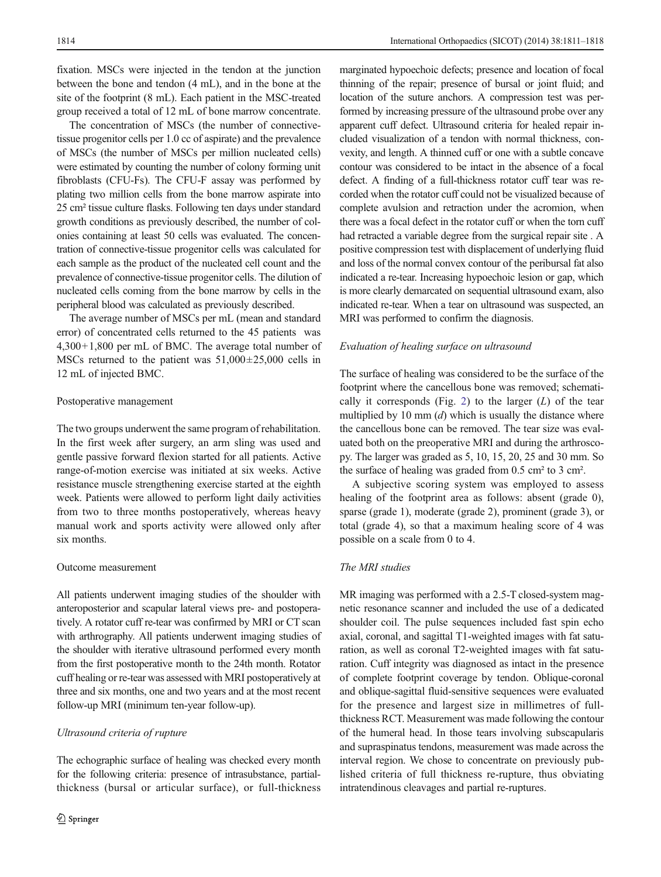fixation. MSCs were injected in the tendon at the junction between the bone and tendon (4 mL), and in the bone at the site of the footprint (8 mL). Each patient in the MSC-treated group received a total of 12 mL of bone marrow concentrate.

The concentration of MSCs (the number of connectivetissue progenitor cells per 1.0 cc of aspirate) and the prevalence of MSCs (the number of MSCs per million nucleated cells) were estimated by counting the number of colony forming unit fibroblasts (CFU-Fs). The CFU-F assay was performed by plating two million cells from the bone marrow aspirate into 25 cm² tissue culture flasks. Following ten days under standard growth conditions as previously described, the number of colonies containing at least 50 cells was evaluated. The concentration of connective-tissue progenitor cells was calculated for each sample as the product of the nucleated cell count and the prevalence of connective-tissue progenitor cells. The dilution of nucleated cells coming from the bone marrow by cells in the peripheral blood was calculated as previously described.

The average number of MSCs per mL (mean and standard error) of concentrated cells returned to the 45 patients was 4,300+1,800 per mL of BMC. The average total number of MSCs returned to the patient was  $51,000\pm25,000$  cells in 12 mL of injected BMC.

#### Postoperative management

The two groups underwent the same program of rehabilitation. In the first week after surgery, an arm sling was used and gentle passive forward flexion started for all patients. Active range-of-motion exercise was initiated at six weeks. Active resistance muscle strengthening exercise started at the eighth week. Patients were allowed to perform light daily activities from two to three months postoperatively, whereas heavy manual work and sports activity were allowed only after six months.

# Outcome measurement

All patients underwent imaging studies of the shoulder with anteroposterior and scapular lateral views pre- and postoperatively. A rotator cuff re-tear was confirmed by MRI or CT scan with arthrography. All patients underwent imaging studies of the shoulder with iterative ultrasound performed every month from the first postoperative month to the 24th month. Rotator cuff healing or re-tear was assessed with MRI postoperatively at three and six months, one and two years and at the most recent follow-up MRI (minimum ten-year follow-up).

## Ultrasound criteria of rupture

The echographic surface of healing was checked every month for the following criteria: presence of intrasubstance, partialthickness (bursal or articular surface), or full-thickness marginated hypoechoic defects; presence and location of focal thinning of the repair; presence of bursal or joint fluid; and location of the suture anchors. A compression test was performed by increasing pressure of the ultrasound probe over any apparent cuff defect. Ultrasound criteria for healed repair included visualization of a tendon with normal thickness, convexity, and length. A thinned cuff or one with a subtle concave contour was considered to be intact in the absence of a focal defect. A finding of a full-thickness rotator cuff tear was recorded when the rotator cuff could not be visualized because of complete avulsion and retraction under the acromion, when there was a focal defect in the rotator cuff or when the torn cuff had retracted a variable degree from the surgical repair site . A positive compression test with displacement of underlying fluid and loss of the normal convex contour of the peribursal fat also indicated a re-tear. Increasing hypoechoic lesion or gap, which is more clearly demarcated on sequential ultrasound exam, also indicated re-tear. When a tear on ultrasound was suspected, an MRI was performed to confirm the diagnosis.

#### Evaluation of healing surface on ultrasound

The surface of healing was considered to be the surface of the footprint where the cancellous bone was removed; schemati-cally it corresponds (Fig. [2\)](#page-2-0) to the larger  $(L)$  of the tear multiplied by 10 mm  $(d)$  which is usually the distance where the cancellous bone can be removed. The tear size was evaluated both on the preoperative MRI and during the arthroscopy. The larger was graded as 5, 10, 15, 20, 25 and 30 mm. So the surface of healing was graded from 0.5 cm² to 3 cm².

A subjective scoring system was employed to assess healing of the footprint area as follows: absent (grade 0), sparse (grade 1), moderate (grade 2), prominent (grade 3), or total (grade 4), so that a maximum healing score of 4 was possible on a scale from 0 to 4.

# The MRI studies

MR imaging was performed with a 2.5-T closed-system magnetic resonance scanner and included the use of a dedicated shoulder coil. The pulse sequences included fast spin echo axial, coronal, and sagittal T1-weighted images with fat saturation, as well as coronal T2-weighted images with fat saturation. Cuff integrity was diagnosed as intact in the presence of complete footprint coverage by tendon. Oblique-coronal and oblique-sagittal fluid-sensitive sequences were evaluated for the presence and largest size in millimetres of fullthickness RCT. Measurement was made following the contour of the humeral head. In those tears involving subscapularis and supraspinatus tendons, measurement was made across the interval region. We chose to concentrate on previously published criteria of full thickness re-rupture, thus obviating intratendinous cleavages and partial re-ruptures.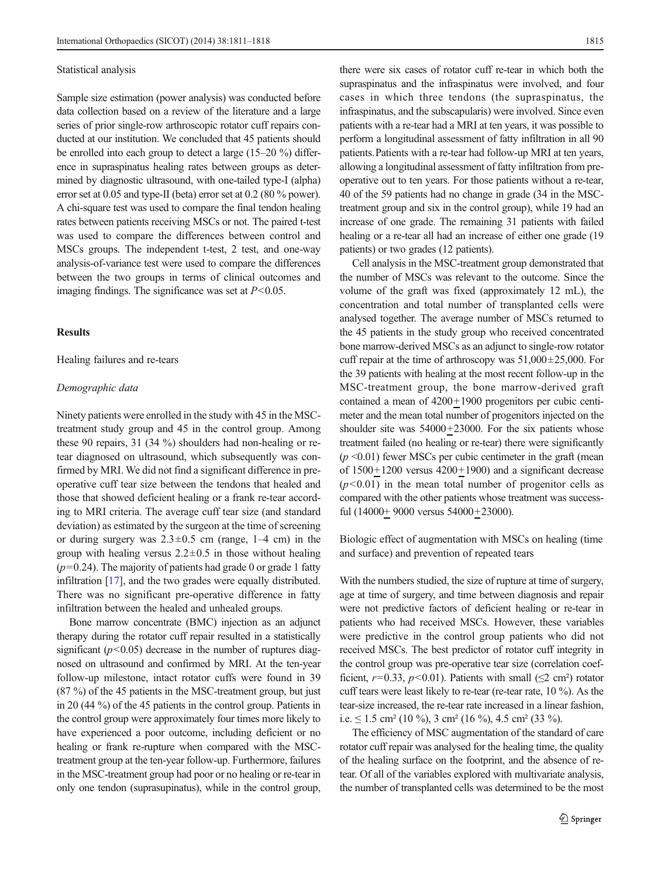#### Statistical analysis

Sample size estimation (power analysis) was conducted before data collection based on a review of the literature and a large series of prior single-row arthroscopic rotator cuff repairs conducted at our institution. We concluded that 45 patients should be enrolled into each group to detect a large (15–20 %) difference in supraspinatus healing rates between groups as determined by diagnostic ultrasound, with one-tailed type-I (alpha) error set at 0.05 and type-II (beta) error set at 0.2 (80 % power). A chi-square test was used to compare the final tendon healing rates between patients receiving MSCs or not. The paired t-test was used to compare the differences between control and MSCs groups. The independent t-test, 2 test, and one-way analysis-of-variance test were used to compare the differences between the two groups in terms of clinical outcomes and imaging findings. The significance was set at  $P<0.05$ .

## **Results**

Healing failures and re-tears

#### Demographic data

Ninety patients were enrolled in the study with 45 in the MSCtreatment study group and 45 in the control group. Among these 90 repairs, 31 (34 %) shoulders had non-healing or retear diagnosed on ultrasound, which subsequently was confirmed by MRI. We did not find a significant difference in preoperative cuff tear size between the tendons that healed and those that showed deficient healing or a frank re-tear according to MRI criteria. The average cuff tear size (and standard deviation) as estimated by the surgeon at the time of screening or during surgery was  $2.3 \pm 0.5$  cm (range,  $1-4$  cm) in the group with healing versus  $2.2 \pm 0.5$  in those without healing  $(p=0.24)$ . The majority of patients had grade 0 or grade 1 fatty infiltration [[17\]](#page-7-0), and the two grades were equally distributed. There was no significant pre-operative difference in fatty infiltration between the healed and unhealed groups.

Bone marrow concentrate (BMC) injection as an adjunct therapy during the rotator cuff repair resulted in a statistically significant  $(p<0.05)$  decrease in the number of ruptures diagnosed on ultrasound and confirmed by MRI. At the ten-year follow-up milestone, intact rotator cuffs were found in 39 (87 %) of the 45 patients in the MSC-treatment group, but just in 20 (44 %) of the 45 patients in the control group. Patients in the control group were approximately four times more likely to have experienced a poor outcome, including deficient or no healing or frank re-rupture when compared with the MSCtreatment group at the ten-year follow-up. Furthermore, failures in the MSC-treatment group had poor or no healing or re-tear in only one tendon (suprasupinatus), while in the control group,

there were six cases of rotator cuff re-tear in which both the supraspinatus and the infraspinatus were involved, and four cases in which three tendons (the supraspinatus, the infraspinatus, and the subscapularis) were involved. Since even patients with a re-tear had a MRI at ten years, it was possible to perform a longitudinal assessment of fatty infiltration in all 90 patients.Patients with a re-tear had follow-up MRI at ten years, allowing a longitudinal assessment of fatty infiltration from preoperative out to ten years. For those patients without a re-tear, 40 of the 59 patients had no change in grade (34 in the MSCtreatment group and six in the control group), while 19 had an increase of one grade. The remaining 31 patients with failed healing or a re-tear all had an increase of either one grade (19 patients) or two grades (12 patients).

Cell analysis in the MSC-treatment group demonstrated that the number of MSCs was relevant to the outcome. Since the volume of the graft was fixed (approximately 12 mL), the concentration and total number of transplanted cells were analysed together. The average number of MSCs returned to the 45 patients in the study group who received concentrated bone marrow-derived MSCs as an adjunct to single-row rotator cuff repair at the time of arthroscopy was  $51,000\pm25,000$ . For the 39 patients with healing at the most recent follow-up in the MSC-treatment group, the bone marrow-derived graft contained a mean of 4200+1900 progenitors per cubic centimeter and the mean total number of progenitors injected on the shoulder site was 54000+23000. For the six patients whose treatment failed (no healing or re-tear) there were significantly  $(p \le 0.01)$  fewer MSCs per cubic centimeter in the graft (mean of  $1500+1200$  versus  $4200+1900$ ) and a significant decrease  $(p<0.01)$  in the mean total number of progenitor cells as compared with the other patients whose treatment was successful (14000+ 9000 versus 54000+23000).

Biologic effect of augmentation with MSCs on healing (time and surface) and prevention of repeated tears

With the numbers studied, the size of rupture at time of surgery, age at time of surgery, and time between diagnosis and repair were not predictive factors of deficient healing or re-tear in patients who had received MSCs. However, these variables were predictive in the control group patients who did not received MSCs. The best predictor of rotator cuff integrity in the control group was pre-operative tear size (correlation coefficient,  $r=0.33$ ,  $p<0.01$ ). Patients with small ( $\leq$ 2 cm<sup>2</sup>) rotator cuff tears were least likely to re-tear (re-tear rate, 10 %). As the tear-size increased, the re-tear rate increased in a linear fashion, i.e.  $\leq$  1.5 cm<sup>2</sup> (10 %), 3 cm<sup>2</sup> (16 %), 4.5 cm<sup>2</sup> (33 %).

The efficiency of MSC augmentation of the standard of care rotator cuff repair was analysed for the healing time, the quality of the healing surface on the footprint, and the absence of retear. Of all of the variables explored with multivariate analysis, the number of transplanted cells was determined to be the most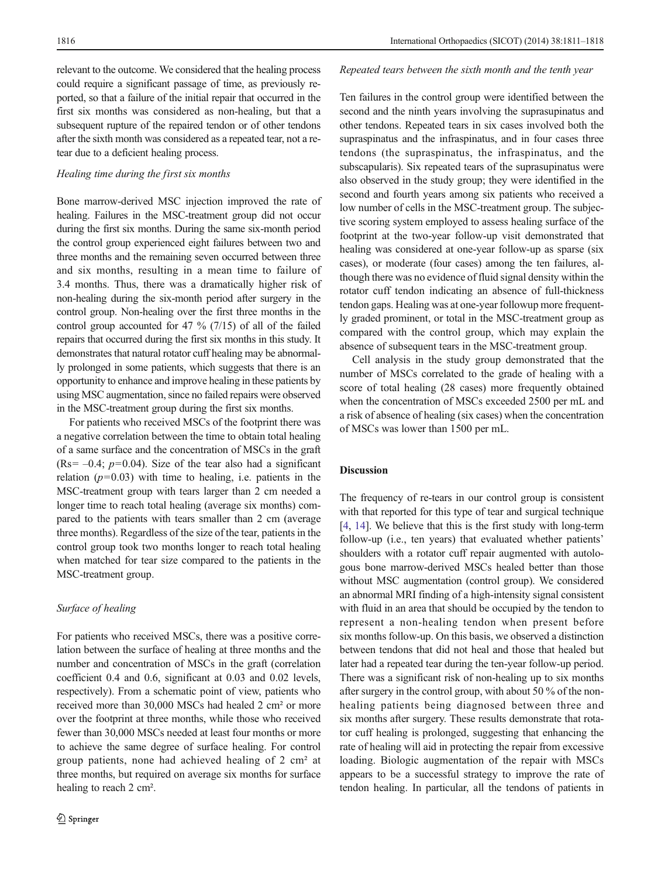relevant to the outcome. We considered that the healing process could require a significant passage of time, as previously reported, so that a failure of the initial repair that occurred in the first six months was considered as non-healing, but that a subsequent rupture of the repaired tendon or of other tendons after the sixth month was considered as a repeated tear, not a retear due to a deficient healing process.

# Healing time during the first six months

Bone marrow-derived MSC injection improved the rate of healing. Failures in the MSC-treatment group did not occur during the first six months. During the same six-month period the control group experienced eight failures between two and three months and the remaining seven occurred between three and six months, resulting in a mean time to failure of 3.4 months. Thus, there was a dramatically higher risk of non-healing during the six-month period after surgery in the control group. Non-healing over the first three months in the control group accounted for 47  $\%$  (7/15) of all of the failed repairs that occurred during the first six months in this study. It demonstrates that natural rotator cuff healing may be abnormally prolonged in some patients, which suggests that there is an opportunity to enhance and improve healing in these patients by using MSC augmentation, since no failed repairs were observed in the MSC-treatment group during the first six months.

For patients who received MSCs of the footprint there was a negative correlation between the time to obtain total healing of a same surface and the concentration of MSCs in the graft (Rs=  $-0.4$ ;  $p=0.04$ ). Size of the tear also had a significant relation  $(p=0.03)$  with time to healing, i.e. patients in the MSC-treatment group with tears larger than 2 cm needed a longer time to reach total healing (average six months) compared to the patients with tears smaller than 2 cm (average three months). Regardless of the size of the tear, patients in the control group took two months longer to reach total healing when matched for tear size compared to the patients in the MSC-treatment group.

# Surface of healing

For patients who received MSCs, there was a positive correlation between the surface of healing at three months and the number and concentration of MSCs in the graft (correlation coefficient 0.4 and 0.6, significant at 0.03 and 0.02 levels, respectively). From a schematic point of view, patients who received more than 30,000 MSCs had healed 2 cm² or more over the footprint at three months, while those who received fewer than 30,000 MSCs needed at least four months or more to achieve the same degree of surface healing. For control group patients, none had achieved healing of 2 cm² at three months, but required on average six months for surface healing to reach 2 cm².

#### Repeated tears between the sixth month and the tenth year

Ten failures in the control group were identified between the second and the ninth years involving the suprasupinatus and other tendons. Repeated tears in six cases involved both the supraspinatus and the infraspinatus, and in four cases three tendons (the supraspinatus, the infraspinatus, and the subscapularis). Six repeated tears of the suprasupinatus were also observed in the study group; they were identified in the second and fourth years among six patients who received a low number of cells in the MSC-treatment group. The subjective scoring system employed to assess healing surface of the footprint at the two-year follow-up visit demonstrated that healing was considered at one-year follow-up as sparse (six cases), or moderate (four cases) among the ten failures, although there was no evidence of fluid signal density within the rotator cuff tendon indicating an absence of full-thickness tendon gaps. Healing was at one-year followup more frequently graded prominent, or total in the MSC-treatment group as compared with the control group, which may explain the absence of subsequent tears in the MSC-treatment group.

Cell analysis in the study group demonstrated that the number of MSCs correlated to the grade of healing with a score of total healing (28 cases) more frequently obtained when the concentration of MSCs exceeded 2500 per mL and a risk of absence of healing (six cases) when the concentration of MSCs was lower than 1500 per mL.

# Discussion

The frequency of re-tears in our control group is consistent with that reported for this type of tear and surgical technique [\[4](#page-7-0), [14](#page-7-0)]. We believe that this is the first study with long-term follow-up (i.e., ten years) that evaluated whether patients' shoulders with a rotator cuff repair augmented with autologous bone marrow-derived MSCs healed better than those without MSC augmentation (control group). We considered an abnormal MRI finding of a high-intensity signal consistent with fluid in an area that should be occupied by the tendon to represent a non-healing tendon when present before six months follow-up. On this basis, we observed a distinction between tendons that did not heal and those that healed but later had a repeated tear during the ten-year follow-up period. There was a significant risk of non-healing up to six months after surgery in the control group, with about 50 % of the nonhealing patients being diagnosed between three and six months after surgery. These results demonstrate that rotator cuff healing is prolonged, suggesting that enhancing the rate of healing will aid in protecting the repair from excessive loading. Biologic augmentation of the repair with MSCs appears to be a successful strategy to improve the rate of tendon healing. In particular, all the tendons of patients in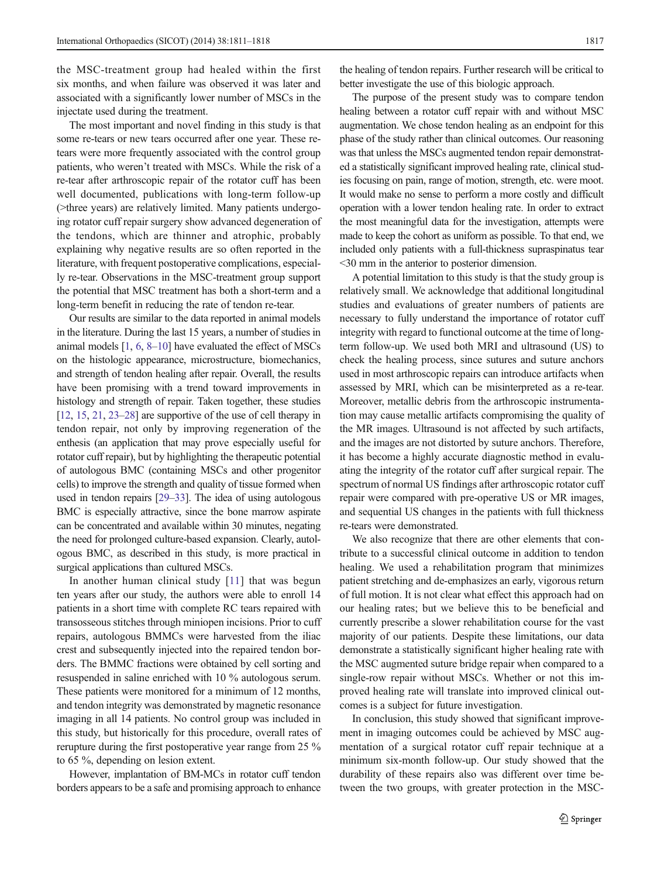the MSC-treatment group had healed within the first six months, and when failure was observed it was later and associated with a significantly lower number of MSCs in the injectate used during the treatment.

The most important and novel finding in this study is that some re-tears or new tears occurred after one year. These retears were more frequently associated with the control group patients, who weren't treated with MSCs. While the risk of a re-tear after arthroscopic repair of the rotator cuff has been well documented, publications with long-term follow-up (>three years) are relatively limited. Many patients undergoing rotator cuff repair surgery show advanced degeneration of the tendons, which are thinner and atrophic, probably explaining why negative results are so often reported in the literature, with frequent postoperative complications, especially re-tear. Observations in the MSC-treatment group support the potential that MSC treatment has both a short-term and a long-term benefit in reducing the rate of tendon re-tear.

Our results are similar to the data reported in animal models in the literature. During the last 15 years, a number of studies in animal models [[1](#page-7-0), [6](#page-7-0), [8](#page-7-0)–[10](#page-7-0)] have evaluated the effect of MSCs on the histologic appearance, microstructure, biomechanics, and strength of tendon healing after repair. Overall, the results have been promising with a trend toward improvements in histology and strength of repair. Taken together, these studies [\[12,](#page-7-0) [15](#page-7-0), [21,](#page-7-0) [23](#page-7-0)–[28\]](#page-7-0) are supportive of the use of cell therapy in tendon repair, not only by improving regeneration of the enthesis (an application that may prove especially useful for rotator cuff repair), but by highlighting the therapeutic potential of autologous BMC (containing MSCs and other progenitor cells) to improve the strength and quality of tissue formed when used in tendon repairs [\[29](#page-7-0)–[33\]](#page-7-0). The idea of using autologous BMC is especially attractive, since the bone marrow aspirate can be concentrated and available within 30 minutes, negating the need for prolonged culture-based expansion. Clearly, autologous BMC, as described in this study, is more practical in surgical applications than cultured MSCs.

In another human clinical study [[11\]](#page-7-0) that was begun ten years after our study, the authors were able to enroll 14 patients in a short time with complete RC tears repaired with transosseous stitches through miniopen incisions. Prior to cuff repairs, autologous BMMCs were harvested from the iliac crest and subsequently injected into the repaired tendon borders. The BMMC fractions were obtained by cell sorting and resuspended in saline enriched with 10 % autologous serum. These patients were monitored for a minimum of 12 months, and tendon integrity was demonstrated by magnetic resonance imaging in all 14 patients. No control group was included in this study, but historically for this procedure, overall rates of rerupture during the first postoperative year range from 25 % to 65 %, depending on lesion extent.

However, implantation of BM-MCs in rotator cuff tendon borders appears to be a safe and promising approach to enhance

the healing of tendon repairs. Further research will be critical to better investigate the use of this biologic approach.

The purpose of the present study was to compare tendon healing between a rotator cuff repair with and without MSC augmentation. We chose tendon healing as an endpoint for this phase of the study rather than clinical outcomes. Our reasoning was that unless the MSCs augmented tendon repair demonstrated a statistically significant improved healing rate, clinical studies focusing on pain, range of motion, strength, etc. were moot. It would make no sense to perform a more costly and difficult operation with a lower tendon healing rate. In order to extract the most meaningful data for the investigation, attempts were made to keep the cohort as uniform as possible. To that end, we included only patients with a full-thickness supraspinatus tear <30 mm in the anterior to posterior dimension.

A potential limitation to this study is that the study group is relatively small. We acknowledge that additional longitudinal studies and evaluations of greater numbers of patients are necessary to fully understand the importance of rotator cuff integrity with regard to functional outcome at the time of longterm follow-up. We used both MRI and ultrasound (US) to check the healing process, since sutures and suture anchors used in most arthroscopic repairs can introduce artifacts when assessed by MRI, which can be misinterpreted as a re-tear. Moreover, metallic debris from the arthroscopic instrumentation may cause metallic artifacts compromising the quality of the MR images. Ultrasound is not affected by such artifacts, and the images are not distorted by suture anchors. Therefore, it has become a highly accurate diagnostic method in evaluating the integrity of the rotator cuff after surgical repair. The spectrum of normal US findings after arthroscopic rotator cuff repair were compared with pre-operative US or MR images, and sequential US changes in the patients with full thickness re-tears were demonstrated.

We also recognize that there are other elements that contribute to a successful clinical outcome in addition to tendon healing. We used a rehabilitation program that minimizes patient stretching and de-emphasizes an early, vigorous return of full motion. It is not clear what effect this approach had on our healing rates; but we believe this to be beneficial and currently prescribe a slower rehabilitation course for the vast majority of our patients. Despite these limitations, our data demonstrate a statistically significant higher healing rate with the MSC augmented suture bridge repair when compared to a single-row repair without MSCs. Whether or not this improved healing rate will translate into improved clinical outcomes is a subject for future investigation.

In conclusion, this study showed that significant improvement in imaging outcomes could be achieved by MSC augmentation of a surgical rotator cuff repair technique at a minimum six-month follow-up. Our study showed that the durability of these repairs also was different over time between the two groups, with greater protection in the MSC-